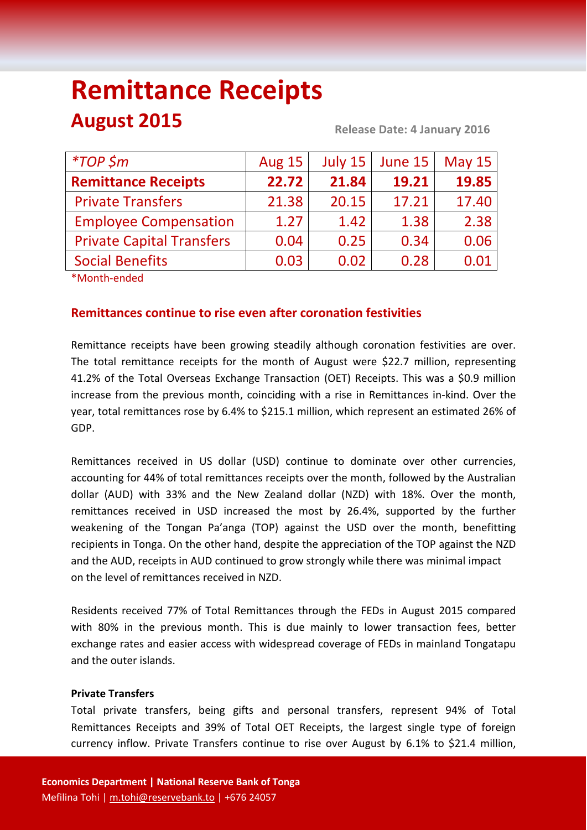# **Remittance Receipts August 2015 Release Date: 4 January <sup>2016</sup>**

| $*TOP$ \$m                       | <b>Aug 15</b> | July 15 | June 15 | <b>May 15</b> |
|----------------------------------|---------------|---------|---------|---------------|
| <b>Remittance Receipts</b>       | 22.72         | 21.84   | 19.21   | 19.85         |
| <b>Private Transfers</b>         | 21.38         | 20.15   | 17.21   | 17.40         |
| <b>Employee Compensation</b>     | 1.27          | 1.42    | 1.38    | 2.38          |
| <b>Private Capital Transfers</b> | 0.04          | 0.25    | 0.34    | 0.06          |
| <b>Social Benefits</b>           | 0.03          | 0.02    | 0.28    | 0.01          |

\*Month-ended

# **Remittances continue to rise even after coronation festivities**

Remittance receipts have been growing steadily although coronation festivities are over. The total remittance receipts for the month of August were \$22.7 million, representing 41.2% of the Total Overseas Exchange Transaction (OET) Receipts. This was a \$0.9 million increase from the previous month, coinciding with a rise in Remittances in-kind. Over the year, total remittances rose by 6.4% to \$215.1 million, which represent an estimated 26% of GDP.

Remittances received in US dollar (USD) continue to dominate over other currencies, accounting for 44% of total remittances receipts over the month, followed by the Australian dollar (AUD) with 33% and the New Zealand dollar (NZD) with 18%. Over the month, remittances received in USD increased the most by 26.4%, supported by the further weakening of the Tongan Pa'anga (TOP) against the USD over the month, benefitting recipients in Tonga. On the other hand, despite the appreciation of the TOP against the NZD and the AUD, receipts in AUD continued to grow strongly while there was minimal impact on the level of remittances received in NZD.

Residents received 77% of Total Remittances through the FEDs in August 2015 compared with 80% in the previous month. This is due mainly to lower transaction fees, better exchange rates and easier access with widespread coverage of FEDs in mainland Tongatapu and the outer islands.

# **Private Transfers**

Total private transfers, being gifts and personal transfers, represent 94% of Total Remittances Receipts and 39% of Total OET Receipts, the largest single type of foreign currency inflow. Private Transfers continue to rise over August by 6.1% to \$21.4 million,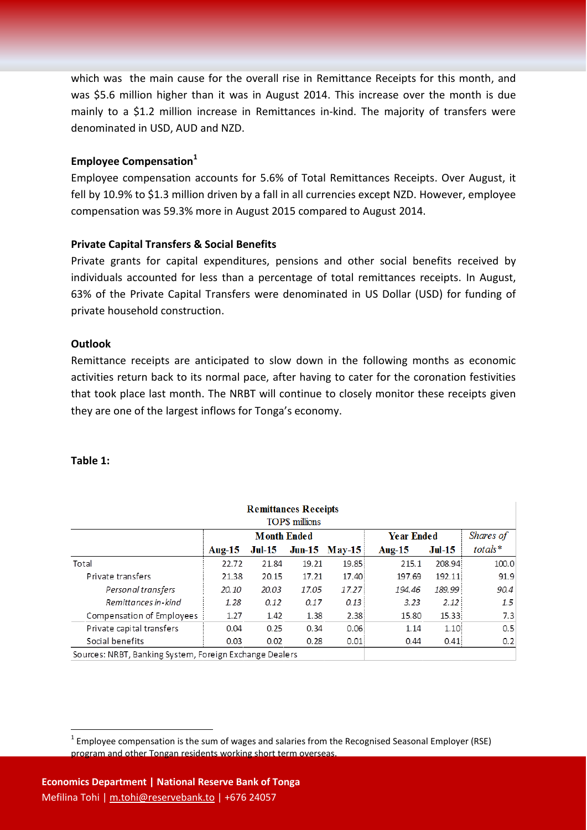which was the main cause for the overall rise in Remittance Receipts for this month, and was \$5.6 million higher than it was in August 2014. This increase over the month is due mainly to a \$1.2 million increase in Remittances in-kind. The majority of transfers were denominated in USD, AUD and NZD.

## **Employee Compensation<sup>1</sup>**

Employee compensation accounts for 5.6% of Total Remittances Receipts. Over August, it fell by 10.9% to \$1.3 million driven by a fall in all currencies except NZD. However, employee compensation was 59.3% more in August 2015 compared to August 2014.

#### **Private Capital Transfers & Social Benefits**

Private grants for capital expenditures, pensions and other social benefits received by individuals accounted for less than a percentage of total remittances receipts. In August, 63% of the Private Capital Transfers were denominated in US Dollar (USD) for funding of private household construction.

## **Outlook**

Remittance receipts are anticipated to slow down in the following months as economic activities return back to its normal pace, after having to cater for the coronation festivities that took place last month. The NRBT will continue to closely monitor these receipts given they are one of the largest inflows for Tonga's economy.

### **Table 1:**

1

| <b>Remittances Receipts</b><br>TOP\$ millions |                    |          |       |                    |           |          |         |  |
|-----------------------------------------------|--------------------|----------|-------|--------------------|-----------|----------|---------|--|
|                                               | <b>Month Ended</b> |          |       | <b>Year Ended</b>  | Shares of |          |         |  |
|                                               | Aug- $15$          | $Jul-15$ |       | $Jun-15$ $M$ ay-15 | Aug- $15$ | $Jul-15$ | totals* |  |
| Total                                         | 22.72              | 21.84    | 19.21 | 19.85              | 215.1     | 208.94   | 100.0   |  |
| Private transfers                             | 21.38              | 20.15    | 17.21 | 17.40              | 197.69    | 192.11   | 91.9    |  |
| Personal transfers                            | 20.10              | 20.03    | 17.05 | 17.27              | 194.46    | 189.99   | 90.4    |  |
| Remittances in-kind                           | 1.28               | 0.12     | 0.17  | 0.13               | 3.23      | 2.12:    | 1.5     |  |
| Compensation of Employees                     | 1.27               | 1.42     | 1.38  | 2.38               | 15.80     | 15.33    | 7.3     |  |
| Private capital transfers                     | 0.04               | 0.25     | 0.34  | 0.06               | 1.14      | 1.10     | 0.5     |  |
| Social benefits                               | 0.03               | 0.02     | 0.28  | 0.01               | 0.44      | 0.41     | 0.2     |  |

Sources: NRBT, Banking System, Foreign Exchange Dealers

 $1$  Employee compensation is the sum of wages and salaries from the Recognised Seasonal Employer (RSE) program and other Tongan residents working short term overseas.